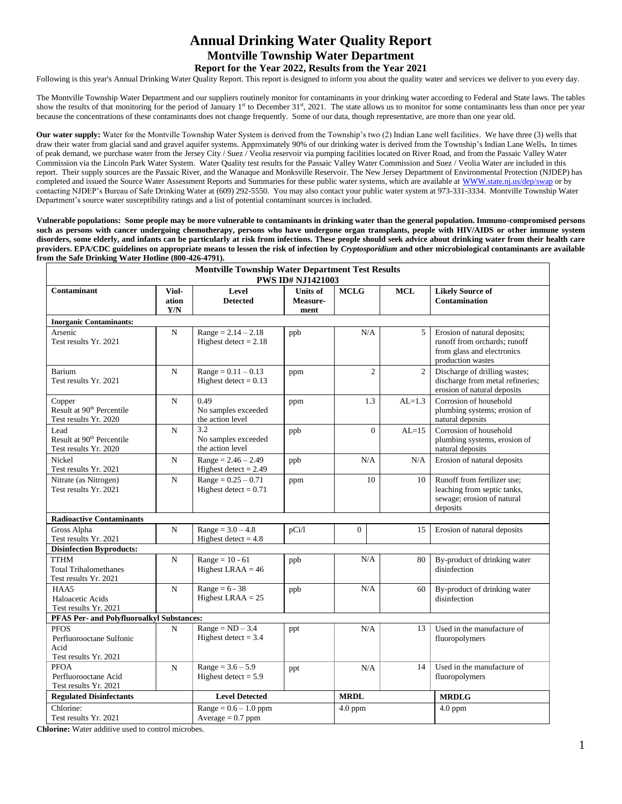# **Annual Drinking Water Quality Report Montville Township Water Department Report for the Year 2022, Results from the Year 2021**

Following is this year's Annual Drinking Water Quality Report. This report is designed to inform you about the quality water and services we deliver to you every day.

The Montville Township Water Department and our suppliers routinely monitor for contaminants in your drinking water according to Federal and State laws. The tables show the results of that monitoring for the period of January 1<sup>st</sup> to December 31<sup>st</sup>, 2021. The state allows us to monitor for some contaminants less than once per year because the concentrations of these contaminants does not change frequently. Some of our data, though representative, are more than one year old.

**Our water supply:** Water for the Montville Township Water System is derived from the Township's two (2) Indian Lane well facilities. We have three (3) wells that draw their water from glacial sand and gravel aquifer systems. Approximately 90% of our drinking water is derived from the Township's Indian Lane Wells**.** In times of peak demand, we purchase water from the Jersey City / Suez / Veolia reservoir via pumping facilities located on River Road, and from the Passaic Valley Water Commission via the Lincoln Park Water System. Water Quality test results for the Passaic Valley Water Commission and Suez / Veolia Water are included in this report. Their supply sources are the Passaic River, and the Wanaque and Monksville Reservoir. The New Jersey Department of Environmental Protection (NJDEP) has completed and issued the Source Water Assessment Reports and Summaries for these public water systems, which are available at WWW.state.nj.us/dep/swap or by contacting NJDEP's Bureau of Safe Drinking Water at (609) 292-5550. You may also contact your public water system at 973-331-3334. Montville Township Water Department's source water susceptibility ratings and a list of potential contaminant sources is included.

**Vulnerable populations: Some people may be more vulnerable to contaminants in drinking water than the general population. Immuno-compromised persons such as persons with cancer undergoing chemotherapy, persons who have undergone organ transplants, people with HIV/AIDS or other immune system disorders, some elderly, and infants can be particularly at risk from infections. These people should seek advice about drinking water from their health care providers. EPA/CDC guidelines on appropriate means to lessen the risk of infection by** *Cryptosporidium* **and other microbiological contaminants are available from the Safe Drinking Water Hotline (800-426-4791).** 

|                                                                          |                                                               | <b>Montville Township Water Department Test Results</b>     | <b>PWS ID# NJ1421003</b>            |                |                |                                                                                                                 |  |  |  |
|--------------------------------------------------------------------------|---------------------------------------------------------------|-------------------------------------------------------------|-------------------------------------|----------------|----------------|-----------------------------------------------------------------------------------------------------------------|--|--|--|
| Contaminant<br>Viol-<br>ation<br>Y/N                                     |                                                               | Level<br><b>Detected</b>                                    | <b>Units of</b><br>Measure-<br>ment | <b>MCLG</b>    | <b>MCL</b>     | <b>Likely Source of</b><br><b>Contamination</b>                                                                 |  |  |  |
| <b>Inorganic Contaminants:</b>                                           |                                                               |                                                             |                                     |                |                |                                                                                                                 |  |  |  |
| Arsenic<br>Test results Yr. 2021                                         | $\mathbf N$                                                   | $Range = 2.14 - 2.18$<br>Highest detect = $2.18$            | ppb                                 | N/A            | 5              | Erosion of natural deposits;<br>runoff from orchards; runoff<br>from glass and electronics<br>production wastes |  |  |  |
| Barium<br>Test results Yr. 2021                                          | $\mathbf N$                                                   | $Range = 0.11 - 0.13$<br>Highest detect = $0.13$            | ppm                                 | $\overline{2}$ | $\mathfrak{2}$ | Discharge of drilling wastes;<br>discharge from metal refineries;<br>erosion of natural deposits                |  |  |  |
| Copper<br>Result at 90 <sup>th</sup> Percentile<br>Test results Yr. 2020 | $\mathbf N$                                                   | 0.49<br>No samples exceeded<br>the action level             | ppm                                 | 1.3            | $AL=1.3$       | Corrosion of household<br>plumbing systems; erosion of<br>natural deposits                                      |  |  |  |
| Lead<br>Result at 90 <sup>th</sup> Percentile<br>Test results Yr. 2020   | $\mathbf N$                                                   | $3.\overline{2}$<br>No samples exceeded<br>the action level | ppb                                 | $\overline{0}$ | $AL=15$        | Corrosion of household<br>plumbing systems, erosion of<br>natural deposits                                      |  |  |  |
| Nickel<br>Test results Yr. 2021                                          | $\mathbf N$                                                   | $Range = 2.46 - 2.49$<br>Highest detect = $2.49$            | ppb                                 | N/A            | N/A            | Erosion of natural deposits                                                                                     |  |  |  |
| Nitrate (as Nitrogen)<br>Test results Yr. 2021                           | $\mathbf N$                                                   | $Range = 0.25 - 0.71$<br>Highest detect = $0.71$            | ppm                                 | 10             | 10             | Runoff from fertilizer use;<br>leaching from septic tanks,<br>sewage; erosion of natural<br>deposits            |  |  |  |
| <b>Radioactive Contaminants</b>                                          |                                                               |                                                             |                                     |                |                |                                                                                                                 |  |  |  |
| Gross Alpha<br>Test results Yr. 2021                                     | $\mathbf N$                                                   |                                                             | pCi/l                               | $\Omega$       | 15             | Erosion of natural deposits                                                                                     |  |  |  |
| <b>Disinfection Byproducts:</b>                                          |                                                               |                                                             |                                     |                |                |                                                                                                                 |  |  |  |
| <b>TTHM</b><br><b>Total Trihalomethanes</b><br>Test results Yr. 2021     | N                                                             | $Range = 10 - 61$<br>Highest LRAA $=$ 46                    | ppb                                 | N/A            | 80             | By-product of drinking water<br>disinfection                                                                    |  |  |  |
| HAA5<br>Haloacetic Acids<br>Test results Yr. 2021                        | Range = $6 - 38$<br>$\mathbf N$<br>ppb<br>Highest LRAA $= 25$ |                                                             |                                     | N/A            | 60             | By-product of drinking water<br>disinfection                                                                    |  |  |  |
| PFAS Per- and Polyfluoroalkyl Substances:                                |                                                               |                                                             |                                     |                |                |                                                                                                                 |  |  |  |
| <b>PFOS</b><br>Perfluorooctane Sulfonic<br>Acid<br>Test results Yr. 2021 | N                                                             | $Range = ND - 3.4$<br>Highest detect $= 3.4$                | ppt                                 | N/A            | 13             | Used in the manufacture of<br>fluoropolymers                                                                    |  |  |  |
| <b>PFOA</b><br>Perfluorooctane Acid<br>Test results Yr. 2021             | $\mathbf N$                                                   | $Range = 3.6 - 5.9$<br>Highest detect $= 5.9$               | ppt                                 | N/A            | 14             | Used in the manufacture of<br>fluoropolymers                                                                    |  |  |  |
| <b>Regulated Disinfectants</b>                                           |                                                               | <b>Level Detected</b>                                       |                                     | <b>MRDL</b>    |                | <b>MRDLG</b>                                                                                                    |  |  |  |
| Chlorine:<br>Test results Yr. 2021                                       |                                                               | $Range = 0.6 - 1.0 ppm$<br>Average $= 0.7$ ppm              |                                     | $4.0$ ppm      |                | $4.0$ ppm                                                                                                       |  |  |  |

**Chlorine:** Water additive used to control microbes.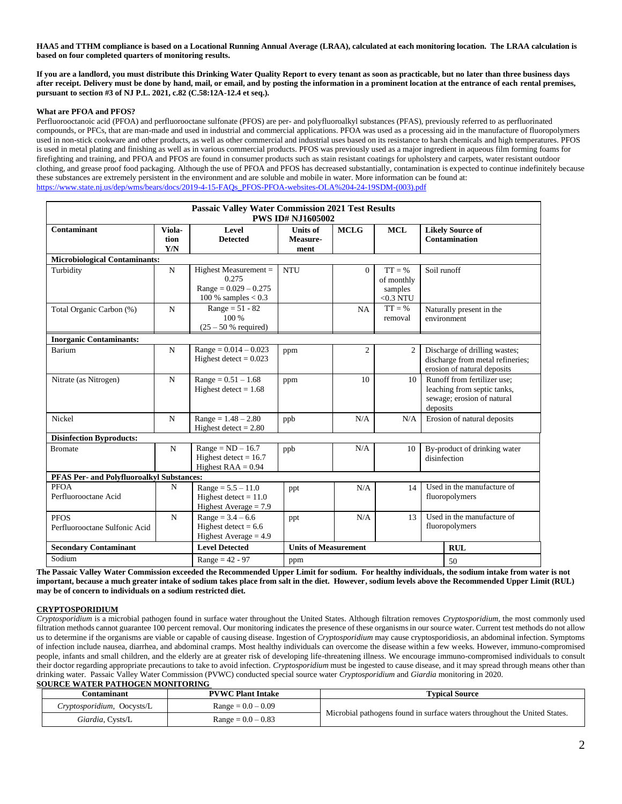**HAA5 and TTHM compliance is based on a Locational Running Annual Average (LRAA), calculated at each monitoring location. The LRAA calculation is based on four completed quarters of monitoring results.**

**If you are a landlord, you must distribute this Drinking Water Quality Report to every tenant as soon as practicable, but no later than three business days after receipt. Delivery must be done by hand, mail, or email, and by posting the information in a prominent location at the entrance of each rental premises, pursuant to section #3 of NJ P.L. 2021, c.82 (C.58:12A-12.4 et seq.).**

#### **What are PFOA and PFOS?**

Perfluorooctanoic acid (PFOA) and perfluorooctane sulfonate (PFOS) are per- and polyfluoroalkyl substances (PFAS), previously referred to as perfluorinated compounds, or PFCs, that are man-made and used in industrial and commercial applications. PFOA was used as a processing aid in the manufacture of fluoropolymers used in non-stick cookware and other products, as well as other commercial and industrial uses based on its resistance to harsh chemicals and high temperatures. PFOS is used in metal plating and finishing as well as in various commercial products. PFOS was previously used as a major ingredient in aqueous film forming foams for firefighting and training, and PFOA and PFOS are found in consumer products such as stain resistant coatings for upholstery and carpets, water resistant outdoor clothing, and grease proof food packaging. Although the use of PFOA and PFOS has decreased substantially, contamination is expected to continue indefinitely because these substances are extremely persistent in the environment and are soluble and mobile in water. More information can be found at: [https://www.state.nj.us/dep/wms/bears/docs/2019-4-15-FAQs\\_PFOS-PFOA-websites-OLA%204-24-19SDM-\(003\).pdf](https://www.state.nj.us/dep/wms/bears/docs/2019-4-15-FAQs_PFOS-PFOA-websites-OLA%204-24-19SDM-(003).pdf)

| <b>Passaic Valley Water Commission 2021 Test Results</b><br><b>PWS ID# NJ1605002</b> |                       |                                                                                      |                                     |                |                                                   |                                                                                                      |                                                 |  |  |  |
|--------------------------------------------------------------------------------------|-----------------------|--------------------------------------------------------------------------------------|-------------------------------------|----------------|---------------------------------------------------|------------------------------------------------------------------------------------------------------|-------------------------------------------------|--|--|--|
| Contaminant                                                                          | Viola-<br>tion<br>Y/N | Level<br><b>Detected</b>                                                             | <b>Units of</b><br>Measure-<br>ment | <b>MCLG</b>    | <b>MCL</b>                                        |                                                                                                      | <b>Likely Source of</b><br><b>Contamination</b> |  |  |  |
| <b>Microbiological Contaminants:</b>                                                 |                       |                                                                                      |                                     |                |                                                   |                                                                                                      |                                                 |  |  |  |
| Turbidity                                                                            | N                     | Highest Measurement $=$<br>0.275<br>$Range = 0.029 - 0.275$<br>100 % samples $< 0.3$ | <b>NTU</b>                          | $\Omega$       | $TT = \%$<br>of monthly<br>samples<br>$<$ 0.3 NTU | Soil runoff                                                                                          |                                                 |  |  |  |
| Total Organic Carbon (%)                                                             | N                     | $Range = 51 - 82$<br>100 %<br>$(25 - 50 %$ required)                                 |                                     | NA             | $TT = \%$<br>removal                              |                                                                                                      | Naturally present in the<br>environment         |  |  |  |
| <b>Inorganic Contaminants:</b>                                                       |                       |                                                                                      |                                     |                |                                                   |                                                                                                      |                                                 |  |  |  |
| Barium                                                                               | $\mathbf N$           | $Range = 0.014 - 0.023$<br>Highest detect = $0.023$                                  | ppm                                 | $\mathfrak{2}$ | 2                                                 | Discharge of drilling wastes;<br>discharge from metal refineries;<br>erosion of natural deposits     |                                                 |  |  |  |
| Nitrate (as Nitrogen)                                                                | $\mathbf N$           | $Range = 0.51 - 1.68$<br>Highest detect = $1.68$                                     | ppm                                 | 10             | 10                                                | Runoff from fertilizer use:<br>leaching from septic tanks,<br>sewage; erosion of natural<br>deposits |                                                 |  |  |  |
| Nickel                                                                               | N                     | $Range = 1.48 - 2.80$<br>Highest detect $= 2.80$                                     | ppb                                 | N/A            | N/A                                               |                                                                                                      | Erosion of natural deposits                     |  |  |  |
| <b>Disinfection Byproducts:</b>                                                      |                       |                                                                                      |                                     |                |                                                   |                                                                                                      |                                                 |  |  |  |
| N<br><b>Bromate</b>                                                                  |                       | $Range = ND - 16.7$<br>Highest detect = $16.7$<br>Highest $RAA = 0.94$               | ppb                                 | N/A            | 10                                                | By-product of drinking water<br>disinfection                                                         |                                                 |  |  |  |
| PFAS Per- and Polyfluoroalkyl Substances:                                            |                       |                                                                                      |                                     |                |                                                   |                                                                                                      |                                                 |  |  |  |
| PFOA<br>Perfluorooctane Acid                                                         | N                     | $Range = 5.5 - 11.0$<br>Highest detect $= 11.0$<br>Highest Average $= 7.9$           | ppt                                 | N/A            | 14                                                | Used in the manufacture of<br>fluoropolymers                                                         |                                                 |  |  |  |
| <b>PFOS</b><br>Perfluorooctane Sulfonic Acid                                         | $\mathbf N$           | $Range = 3.4 - 6.6$<br>Highest detect = $6.6$<br>Highest Average $= 4.9$             | ppt                                 | N/A            | 13                                                | Used in the manufacture of<br>fluoropolymers                                                         |                                                 |  |  |  |
| <b>Secondary Contaminant</b>                                                         |                       | <b>Level Detected</b>                                                                | <b>Units of Measurement</b>         |                |                                                   |                                                                                                      | <b>RUL</b>                                      |  |  |  |
| Sodium<br>$Range = 42 - 97$<br>ppm                                                   |                       |                                                                                      |                                     |                |                                                   |                                                                                                      | 50                                              |  |  |  |

**The Passaic Valley Water Commission exceeded the Recommended Upper Limit for sodium. For healthy individuals, the sodium intake from water is not important, because a much greater intake of sodium takes place from salt in the diet. However, sodium levels above the Recommended Upper Limit (RUL) may be of concern to individuals on a sodium restricted diet.**

### **CRYPTOSPORIDIUM**

*Cryptosporidium* is a microbial pathogen found in surface water throughout the United States. Although filtration removes *Cryptosporidium*, the most commonly used filtration methods cannot guarantee 100 percent removal. Our monitoring indicates the presence of these organisms in our source water. Current test methods do not allow us to determine if the organisms are viable or capable of causing disease. Ingestion of *Cryptosporidium* may cause cryptosporidiosis, an abdominal infection. Symptoms of infection include nausea, diarrhea, and abdominal cramps. Most healthy individuals can overcome the disease within a few weeks. However, immuno-compromised people, infants and small children, and the elderly are at greater risk of developing life-threatening illness. We encourage immuno-compromised individuals to consult their doctor regarding appropriate precautions to take to avoid infection. *Cryptosporidium* must be ingested to cause disease, and it may spread through means other than drinking water. Passaic Valley Water Commission (PVWC) conducted special source water *Cryptosporidium* and *Giardia* monitoring in 2020. **SOURCE WATER PATHOGEN MONITORING** 

| .`ontaminant               | <b>PVWC Plant Intake</b> | <b>Typical Source</b>                                                     |  |  |  |  |  |  |
|----------------------------|--------------------------|---------------------------------------------------------------------------|--|--|--|--|--|--|
| Cryptosporidium, Oocysts/L | $Range = 0.0 - 0.09$     |                                                                           |  |  |  |  |  |  |
| <i>Giardia,</i> Cysts/L    | $Range = 0.0 - 0.83$     | Microbial pathogens found in surface waters throughout the United States. |  |  |  |  |  |  |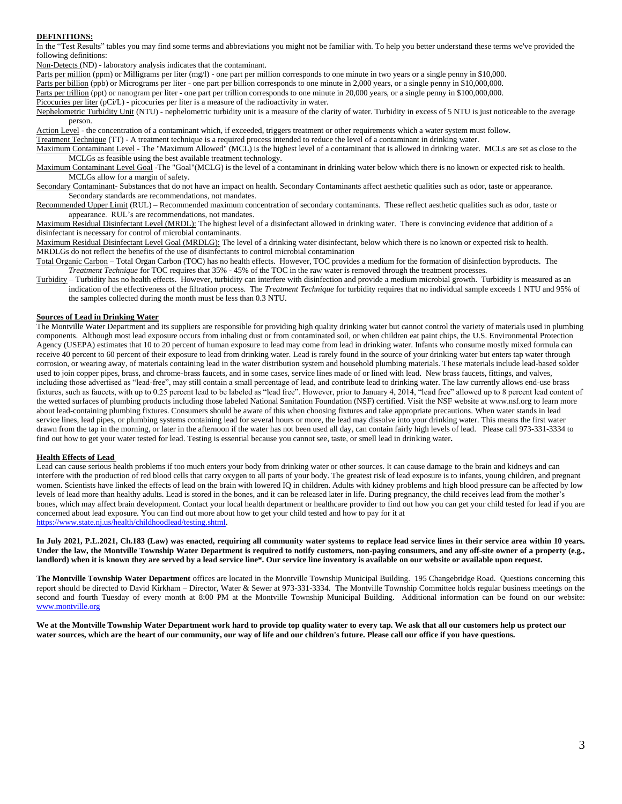#### **DEFINITIONS:**

In the "Test Results" tables you may find some terms and abbreviations you might not be familiar with. To help you better understand these terms we've provided the following definitions:

Non-Detects (ND) - laboratory analysis indicates that the contaminant.

Parts per million (ppm) or Milligrams per liter (mg/l) - one part per million corresponds to one minute in two years or a single penny in \$10,000.

Parts per billion (ppb) or Micrograms per liter - one part per billion corresponds to one minute in 2,000 years, or a single penny in \$10,000,000.

Parts per trillion (ppt) or nanogram per liter - one part per trillion corresponds to one minute in 20,000 years, or a single penny in \$100,000,000. Picocuries per liter (pCi/L) - picocuries per liter is a measure of the radioactivity in water.

Nephelometric Turbidity Unit (NTU) - nephelometric turbidity unit is a measure of the clarity of water. Turbidity in excess of 5 NTU is just noticeable to the average person.

Action Level - the concentration of a contaminant which, if exceeded, triggers treatment or other requirements which a water system must follow.

Treatment Technique (TT) - A treatment technique is a required process intended to reduce the level of a contaminant in drinking water.

Maximum Contaminant Level - The "Maximum Allowed" (MCL) is the highest level of a contaminant that is allowed in drinking water. MCLs are set as close to the MCLGs as feasible using the best available treatment technology.

Maximum Contaminant Level Goal -The "Goal"(MCLG) is the level of a contaminant in drinking water below which there is no known or expected risk to health. MCLGs allow for a margin of safety.

Secondary Contaminant- Substances that do not have an impact on health. Secondary Contaminants affect aesthetic qualities such as odor, taste or appearance. Secondary standards are recommendations, not mandates.

Recommended Upper Limit (RUL) – Recommended maximum concentration of secondary contaminants. These reflect aesthetic qualities such as odor, taste or appearance. RUL's are recommendations, not mandates.

Maximum Residual Disinfectant Level (MRDL): The highest level of a disinfectant allowed in drinking water. There is convincing evidence that addition of a disinfectant is necessary for control of microbial contaminants.

Maximum Residual Disinfectant Level Goal (MRDLG): The level of a drinking water disinfectant, below which there is no known or expected risk to health. MRDLGs do not reflect the benefits of the use of disinfectants to control microbial contamination

Total Organic Carbon – Total Organ Carbon (TOC) has no health effects. However, TOC provides a medium for the formation of disinfection byproducts. The *Treatment Technique* for TOC requires that 35% - 45% of the TOC in the raw water is removed through the treatment processes.

Turbidity – Turbidity has no health effects. However, turbidity can interfere with disinfection and provide a medium microbial growth. Turbidity is measured as an indication of the effectiveness of the filtration process. The *Treatment Technique* for turbidity requires that no individual sample exceeds 1 NTU and 95% of the samples collected during the month must be less than 0.3 NTU.

#### **Sources of Lead in Drinking Water**

The Montville Water Department and its suppliers are responsible for providing high quality drinking water but cannot control the variety of materials used in plumbing components. Although most lead exposure occurs from inhaling dust or from contaminated soil, or when children eat paint chips, the U.S. Environmental Protection Agency (USEPA) estimates that 10 to 20 percent of human exposure to lead may come from lead in drinking water. Infants who consume mostly mixed formula can receive 40 percent to 60 percent of their exposure to lead from drinking water. Lead is rarely found in the source of your drinking water but enters tap water through corrosion, or wearing away, of materials containing lead in the water distribution system and household plumbing materials. These materials include lead-based solder used to join copper pipes, brass, and chrome-brass faucets, and in some cases, service lines made of or lined with lead. New brass faucets, fittings, and valves, including those advertised as "lead-free", may still contain a small percentage of lead, and contribute lead to drinking water. The law currently allows end-use brass fixtures, such as faucets, with up to 0.25 percent lead to be labeled as "lead free". However, prior to January 4, 2014, "lead free" allowed up to 8 percent lead content of the wetted surfaces of plumbing products including those labeled National Sanitation Foundation (NSF) certified. Visit the NSF website at www.nsf.org to learn more about lead-containing plumbing fixtures. Consumers should be aware of this when choosing fixtures and take appropriate precautions. When water stands in lead service lines, lead pipes, or plumbing systems containing lead for several hours or more, the lead may dissolve into your drinking water. This means the first water drawn from the tap in the morning, or later in the afternoon if the water has not been used all day, can contain fairly high levels of lead.Please call 973-331-3334 to find out how to get your water tested for lead. Testing is essential because you cannot see, taste, or smell lead in drinking water**.**

#### **Health Effects of Lead**

Lead can cause serious health problems if too much enters your body from drinking water or other sources. It can cause damage to the brain and kidneys and can interfere with the production of red blood cells that carry oxygen to all parts of your body. The greatest risk of lead exposure is to infants, young children, and pregnant women. Scientists have linked the effects of lead on the brain with lowered IQ in children. Adults with kidney problems and high blood pressure can be affected by low levels of lead more than healthy adults. Lead is stored in the bones, and it can be released later in life. During pregnancy, the child receives lead from the mother's bones, which may affect brain development. Contact your local health department or healthcare provider to find out how you can get your child tested for lead if you are concerned about lead exposure. You can find out more about how to get your child tested and how to pay for it at [https://www.state.nj.us/health/childhoodlead/testing.shtml.](https://www.state.nj.us/health/childhoodlead/testing.shtml)

**In July 2021, P.L.2021, Ch.183 (Law) was enacted, requiring all community water systems to replace lead service lines in their service area within 10 years. Under the law, the Montville Township Water Department is required to notify customers, non-paying consumers, and any off-site owner of a property (e.g., landlord) when it is known they are served by a lead service line\*. Our service line inventory is available on our website or available upon request.**

**The Montville Township Water Department** offices are located in the Montville Township Municipal Building. 195 Changebridge Road. Questions concerning this report should be directed to David Kirkham – Director, Water & Sewer at 973-331-3334. The Montville Township Committee holds regular business meetings on the second and fourth Tuesday of every month at 8:00 PM at the Montville Township Municipal Building. Additional information can be found on our website: [www.montville.org](http://www.montville.org/)

**We at the Montville Township Water Department work hard to provide top quality water to every tap. We ask that all our customers help us protect our water sources, which are the heart of our community, our way of life and our children's future. Please call our office if you have questions.**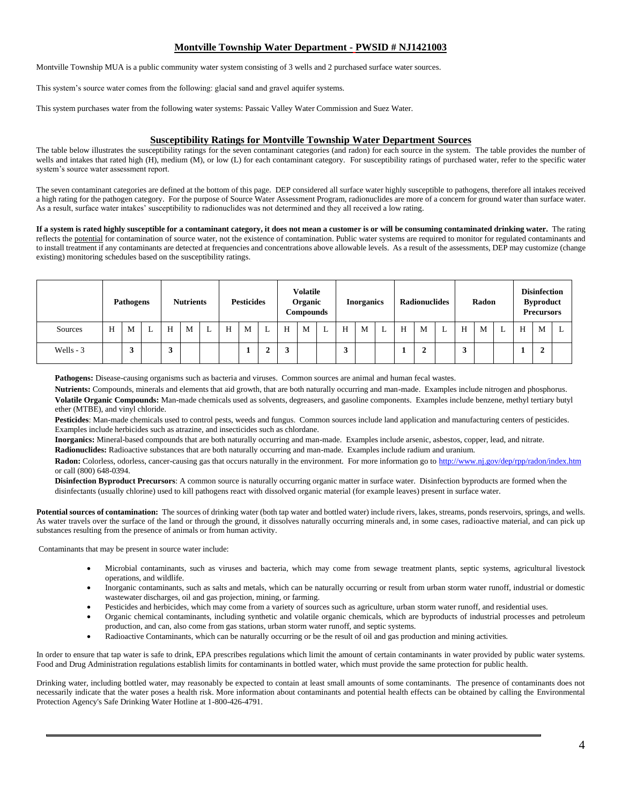# **Montville Township Water Department - PWSID # NJ1421003**

Montville Township MUA is a public community water system consisting of 3 wells and 2 purchased surface water sources.

This system's source water comes from the following: glacial sand and gravel aquifer systems.

This system purchases water from the following water systems: Passaic Valley Water Commission and Suez Water.

## **Susceptibility Ratings for Montville Township Water Department Sources**

The table below illustrates the susceptibility ratings for the seven contaminant categories (and radon) for each source in the system. The table provides the number of wells and intakes that rated high (H), medium (M), or low (L) for each contaminant category. For susceptibility ratings of purchased water, refer to the specific water system's source water assessment report.

The seven contaminant categories are defined at the bottom of this page. DEP considered all surface water highly susceptible to pathogens, therefore all intakes received a high rating for the pathogen category. For the purpose of Source Water Assessment Program, radionuclides are more of a concern for ground water than surface water. As a result, surface water intakes' susceptibility to radionuclides was not determined and they all received a low rating.

**If a system is rated highly susceptible for a contaminant category, it does not mean a customer is or will be consuming contaminated drinking water.** The rating reflects the potential for contamination of source water, not the existence of contamination. Public water systems are required to monitor for regulated contaminants and to install treatment if any contaminants are detected at frequencies and concentrations above allowable levels. As a result of the assessments, DEP may customize (change existing) monitoring schedules based on the susceptibility ratings.

|            |   | <b>Pathogens</b> |   |   | <b>Nutrients</b> |   |   | <b>Pesticides</b> |                               |   | <b>Volatile</b><br>Organic<br>Compounds |   |                | <b>Inorganics</b> |   | <b>Radionuclides</b> |        | Radon |        | <b>Disinfection</b><br><b>Byproduct</b><br><b>Precursors</b> |  |   |   |   |
|------------|---|------------------|---|---|------------------|---|---|-------------------|-------------------------------|---|-----------------------------------------|---|----------------|-------------------|---|----------------------|--------|-------|--------|--------------------------------------------------------------|--|---|---|---|
| Sources    | Н | M                | ⊷ | H | M                | L | Н | M                 | $\overline{\phantom{a}}$<br>∸ | H | M                                       | ⊥ | H              | M                 | ட | H                    | M      | L     | H      | M                                                            |  | H | M | ⊥ |
| Wells $-3$ |   |                  |   | J |                  |   |   |                   | ◠<br>∸                        |   |                                         |   | $\overline{ }$ |                   |   |                      | Δ<br>◢ |       | Δ<br>J |                                                              |  |   |   |   |

**Pathogens:** Disease-causing organisms such as bacteria and viruses. Common sources are animal and human fecal wastes.

**Nutrients:** Compounds, minerals and elements that aid growth, that are both naturally occurring and man-made. Examples include nitrogen and phosphorus. **Volatile Organic Compounds:** Man-made chemicals used as solvents, degreasers, and gasoline components. Examples include benzene, methyl tertiary butyl ether (MTBE), and vinyl chloride.

**Pesticides**: Man-made chemicals used to control pests, weeds and fungus. Common sources include land application and manufacturing centers of pesticides. Examples include herbicides such as atrazine, and insecticides such as chlordane.

**Inorganics:** Mineral-based compounds that are both naturally occurring and man-made. Examples include arsenic, asbestos, copper, lead, and nitrate. **Radionuclides:** Radioactive substances that are both naturally occurring and man-made. Examples include radium and uranium.

**Radon:** Colorless, odorless, cancer-causing gas that occurs naturally in the environment. For more information go to http://www.nj.gov/dep/rpp/radon/index.htm or call (800) 648-0394.

**Disinfection Byproduct Precursors**: A common source is naturally occurring organic matter in surface water. Disinfection byproducts are formed when the disinfectants (usually chlorine) used to kill pathogens react with dissolved organic material (for example leaves) present in surface water.

Potential sources of contamination: The sources of drinking water (both tap water and bottled water) include rivers, lakes, streams, ponds reservoirs, springs, and wells. As water travels over the surface of the land or through the ground, it dissolves naturally occurring minerals and, in some cases, radioactive material, and can pick up substances resulting from the presence of animals or from human activity.

Contaminants that may be present in source water include:

- Microbial contaminants, such as viruses and bacteria, which may come from sewage treatment plants, septic systems, agricultural livestock operations, and wildlife.
- Inorganic contaminants, such as salts and metals, which can be naturally occurring or result from urban storm water runoff, industrial or domestic wastewater discharges, oil and gas projection, mining, or farming.
- Pesticides and herbicides, which may come from a variety of sources such as agriculture, urban storm water runoff, and residential uses.
- Organic chemical contaminants, including synthetic and volatile organic chemicals, which are byproducts of industrial processes and petroleum production, and can, also come from gas stations, urban storm water runoff, and septic systems.
- Radioactive Contaminants, which can be naturally occurring or be the result of oil and gas production and mining activities.

In order to ensure that tap water is safe to drink, EPA prescribes regulations which limit the amount of certain contaminants in water provided by public water systems. Food and Drug Administration regulations establish limits for contaminants in bottled water, which must provide the same protection for public health.

Drinking water, including bottled water, may reasonably be expected to contain at least small amounts of some contaminants. The presence of contaminants does not necessarily indicate that the water poses a health risk. More information about contaminants and potential health effects can be obtained by calling the Environmental Protection Agency's Safe Drinking Water Hotline at 1-800-426-4791.